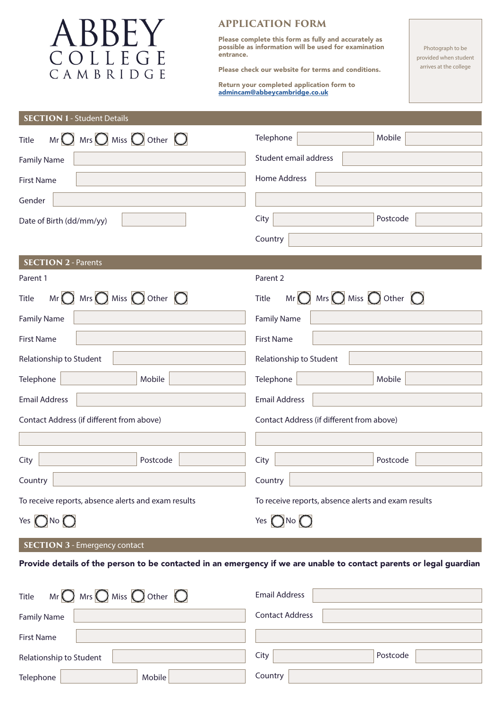

## **APPLICATION FORM**

Please complete this form as fully and accurately as possible as information will be used for examination entrance.

Please check our website for terms and conditions.

Return your completed application form to admincam@abbeycambridge.co.uk

Photograph to be provided when student arrives at the college

## **SECTION 1** - Student Details

| $Mr$ Mrs $\bigcirc$ Miss $\bigcirc$ Other $\bigcirc$<br>Title                   | Mobile<br>Telephone                                                      |
|---------------------------------------------------------------------------------|--------------------------------------------------------------------------|
| <b>Family Name</b>                                                              | Student email address                                                    |
| <b>First Name</b>                                                               | Home Address                                                             |
| Gender                                                                          |                                                                          |
| Date of Birth (dd/mm/yy)                                                        | City<br>Postcode                                                         |
|                                                                                 | Country                                                                  |
| <b>SECTION 2 - Parents</b>                                                      |                                                                          |
| Parent 1                                                                        | Parent 2                                                                 |
| $Mr$ $\bigcirc$ Mrs $\bigcirc$ Miss $\bigcirc$ Other $\bigcirc$<br><b>Title</b> | $Mr$ $\bigcirc$ Mrs $\bigcirc$ Miss $\bigcirc$ Other $\bigcirc$<br>Title |
| <b>Family Name</b>                                                              | <b>Family Name</b>                                                       |
| <b>First Name</b>                                                               | <b>First Name</b>                                                        |
| Relationship to Student                                                         | Relationship to Student                                                  |
| Telephone<br>Mobile                                                             | Telephone<br>Mobile                                                      |
| <b>Email Address</b>                                                            | <b>Email Address</b>                                                     |
| Contact Address (if different from above)                                       | Contact Address (if different from above)                                |
|                                                                                 |                                                                          |
| City<br>Postcode                                                                | City<br>Postcode                                                         |
| Country                                                                         | Country                                                                  |
| To receive reports, absence alerts and exam results                             | To receive reports, absence alerts and exam results                      |
| Yes $\bigcap$ No $\bigcap$                                                      | Yes $\bigcap$ No                                                         |
|                                                                                 |                                                                          |

## **SECTION 3** - Emergency contact

Provide details of the person to be contacted in an emergency if we are unable to contact parents or legal guardian

| Mr $\bigcirc$ Mrs $\bigcirc$ Miss $\bigcirc$ Other $\bigcirc$<br>Title | <b>Email Address</b>   |
|------------------------------------------------------------------------|------------------------|
| <b>Family Name</b>                                                     | <b>Contact Address</b> |
| <b>First Name</b>                                                      |                        |
| Relationship to Student                                                | Postcode<br>City       |
| Mobile<br>Telephone                                                    | Country                |